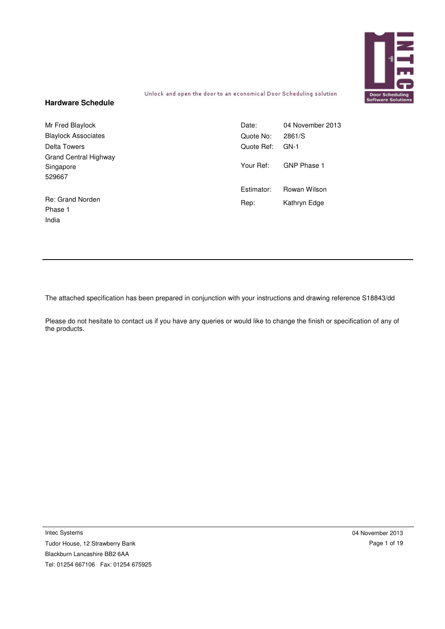

Unlock and open the door to an economical Door Scheduling solution

#### **Hardware Schedule**

| Mr Fred Blaylock           | Date:      | 04 November 2013 |
|----------------------------|------------|------------------|
| <b>Blaylock Associates</b> | Quote No:  | 2861/S           |
| Delta Towers               | Quote Ref: | $GN-1$           |
| Grand Central Highway      |            |                  |
| Singapore                  | Your Ref:  | GNP Phase 1      |
| 529667                     |            |                  |
|                            | Estimator: | Rowan Wilson     |
| Re: Grand Norden           | Rep:       | Kathryn Edge     |
| Phase 1                    |            |                  |
| India                      |            |                  |

The attached specification has been prepared in conjunction with your instructions and drawing reference S18843/dd

Please do not hesitate to contact us if you have any queries or would like to change the finish or specification of any of the products.

Intec Systems

Tudor House, 12 Strawberry Bank Blackburn Lancashire BB2 6AA Tel: 01254 667106 Fax: 01254 675925 04 November 2013 Page 1 of 19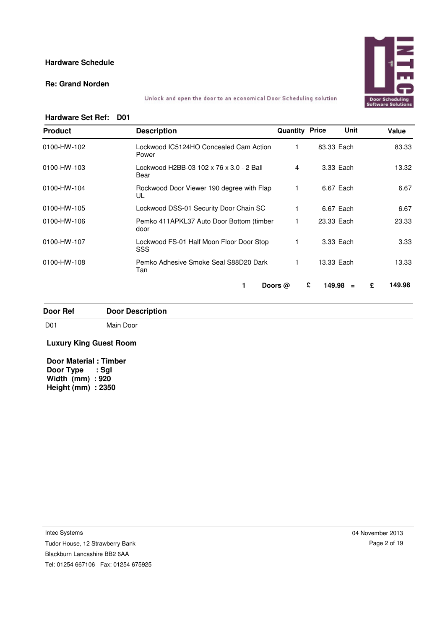#### **Re: Grand Norden**

Unlock and open the door to an economical Door Scheduling solution

#### **Hardware Set Ref: D01**

| <b>Product</b> | <b>Description</b>                                     | <b>Quantity Price</b> |             | Unit      |   | Value  |
|----------------|--------------------------------------------------------|-----------------------|-------------|-----------|---|--------|
| 0100-HW-102    | Lockwood IC5124HO Concealed Cam Action<br>Power        |                       | 83.33 Each  |           |   | 83.33  |
| 0100-HW-103    | Lockwood H2BB-03 102 x 76 x 3.0 - 2 Ball<br>Bear       | 4                     |             | 3.33 Each |   | 13.32  |
| 0100-HW-104    | Rockwood Door Viewer 190 degree with Flap<br>UL        | 1                     |             | 6.67 Each |   | 6.67   |
| 0100-HW-105    | Lockwood DSS-01 Security Door Chain SC                 | 1                     |             | 6.67 Each |   | 6.67   |
| 0100-HW-106    | Pemko 411APKL37 Auto Door Bottom (timber<br>door       | 1                     | 23.33 Each  |           |   | 23.33  |
| 0100-HW-107    | Lockwood FS-01 Half Moon Floor Door Stop<br><b>SSS</b> | 1                     |             | 3.33 Each |   | 3.33   |
| 0100-HW-108    | Pemko Adhesiye Smoke Seal S88D20 Dark<br>Tan           | 1                     | 13.33 Each  |           |   | 13.33  |
|                | 1                                                      | Doors $@$             | £<br>149.98 | Ξ         | £ | 149.98 |

# **Door Ref Door Description**

D01 Main Door

### **Luxury King Guest Room**

**Door Material : Timber Door Type Width (mm) : 920 Height (mm) : 2350**

Intec Systems

Tudor House, 12 Strawberry Bank

Blackburn Lancashire BB2 6AA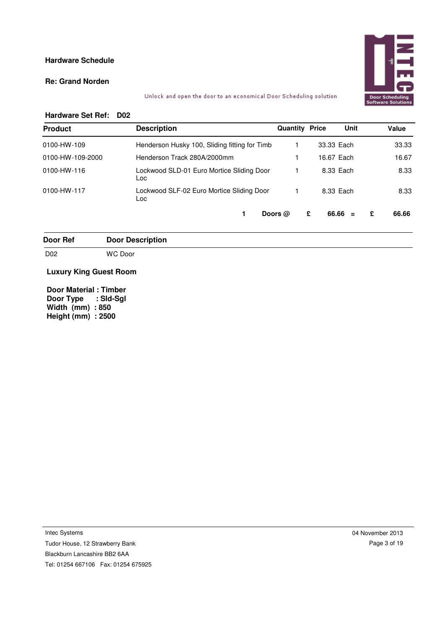### **Re: Grand Norden**



Unlock and open the door to an economical Door Scheduling solution

#### **Hardware Set Ref: D02**

| <b>Product</b>   | <b>Description</b>                               | <b>Quantity Price</b> |   | Unit         |   | Value |
|------------------|--------------------------------------------------|-----------------------|---|--------------|---|-------|
| 0100-HW-109      | Henderson Husky 100, Sliding fitting for Timb    |                       |   | 33.33 Each   |   | 33.33 |
| 0100-HW-109-2000 | Henderson Track 280A/2000mm                      |                       |   | 16.67 Each   |   | 16.67 |
| 0100-HW-116      | Lockwood SLD-01 Euro Mortice Sliding Door<br>Loc |                       |   | 8.33 Each    |   | 8.33  |
| 0100-HW-117      | Lockwood SLF-02 Euro Mortice Sliding Door<br>Loc |                       |   | 8.33 Each    |   | 8.33  |
|                  |                                                  | Doors $@$             | £ | 66.66<br>$=$ | £ | 66.66 |

#### **Door Ref Door Description**

D02 WC Door

### **Luxury King Guest Room**

**Door Material : Timber Door Type Width (mm) : 850 Height (mm) : 2500**

Intec Systems

Tudor House, 12 Strawberry Bank

Blackburn Lancashire BB2 6AA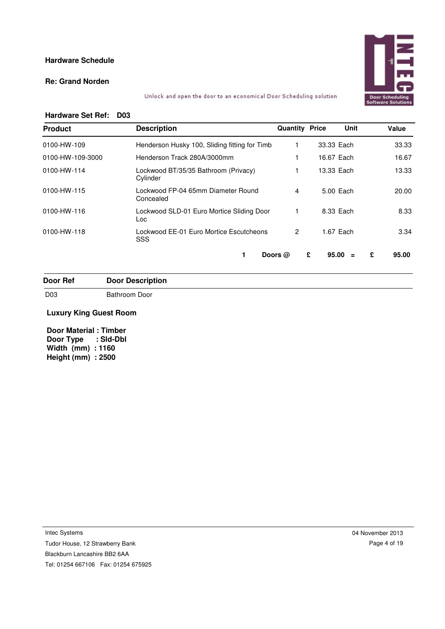### **Re: Grand Norden**



Unlock and open the door to an economical Door Scheduling solution

#### **Hardware Set Ref: D03**

| <b>Product</b>   | <b>Description</b>                                    | <b>Quantity Price</b> |   | Unit              |   | Value |
|------------------|-------------------------------------------------------|-----------------------|---|-------------------|---|-------|
| 0100-HW-109      | Henderson Husky 100, Sliding fitting for Timb         |                       |   | 33.33 Each        |   | 33.33 |
| 0100-HW-109-3000 | Henderson Track 280A/3000mm                           |                       |   | 16.67 Each        |   | 16.67 |
| 0100-HW-114      | Lockwood BT/35/35 Bathroom (Privacy)<br>Cylinder      |                       |   | 13.33 Each        |   | 13.33 |
| 0100-HW-115      | Lockwood FP-04 65mm Diameter Round<br>Concealed       | 4                     |   | 5.00 Each         |   | 20.00 |
| 0100-HW-116      | Lockwood SLD-01 Euro Mortice Sliding Door<br>Loc      | 1                     |   | 8.33 Each         |   | 8.33  |
| 0100-HW-118      | Lockwood EE-01 Euro Mortice Escutcheons<br><b>SSS</b> | $\overline{2}$        |   | 1.67 Each         |   | 3.34  |
|                  | 1                                                     | Doors $@$             | £ | 95.00<br>$\equiv$ | £ | 95.00 |

#### **Door Ref Door Description**

D03 Bathroom Door

### **Luxury King Guest Room**

**Door Material : Timber Door Type Width (mm) : 1160 Height (mm) : 2500**

Intec Systems

Tudor House, 12 Strawberry Bank

Blackburn Lancashire BB2 6AA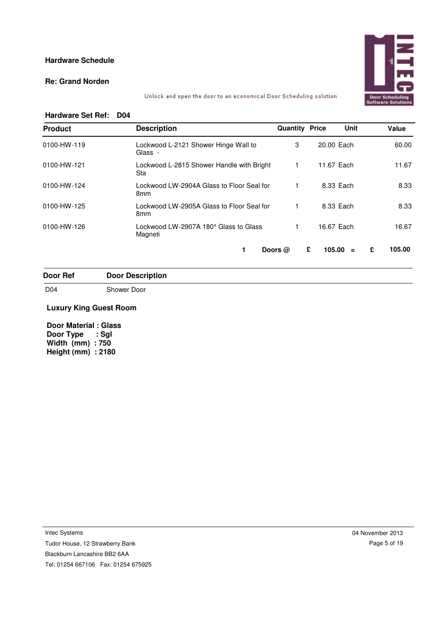### **Re: Grand Norden**



Unlock and open the door to an economical Door Scheduling solution

#### **Hardware Set Ref: D04**

| <b>Product</b> | <b>Description</b>                               | <b>Quantity Price</b> |             | Unit     |   | Value  |
|----------------|--------------------------------------------------|-----------------------|-------------|----------|---|--------|
| 0100-HW-119    | Lockwood L-2121 Shower Hinge Wall to<br>Glass -  | 3                     | 20.00 Each  |          |   | 60.00  |
| 0100-HW-121    | Lockwood L-2815 Shower Handle with Bright<br>Sta | 1                     | 11.67 Each  |          |   | 11.67  |
| 0100-HW-124    | Lockwood LW-2904A Glass to Floor Seal for<br>8mm |                       | 8.33 Each   |          |   | 8.33   |
| 0100-HW-125    | Lockwood LW-2905A Glass to Floor Seal for<br>8mm | 1                     | 8.33 Each   |          |   | 8.33   |
| 0100-HW-126    | Lockwood LW-2907A 180° Glass to Glass<br>Magneti | 1                     | 16.67 Each  |          |   | 16.67  |
|                | 1                                                | Doors $@$             | 105.00<br>£ | $\equiv$ | £ | 105.00 |

### **Door Ref Door Description**

## D04 Shower Door

**Luxury King Guest Room**

**Door Material : Glass Door Type : Sgl Width (mm) : 750 Height (mm) : 2180**

Intec Systems

Tudor House, 12 Strawberry Bank

Blackburn Lancashire BB2 6AA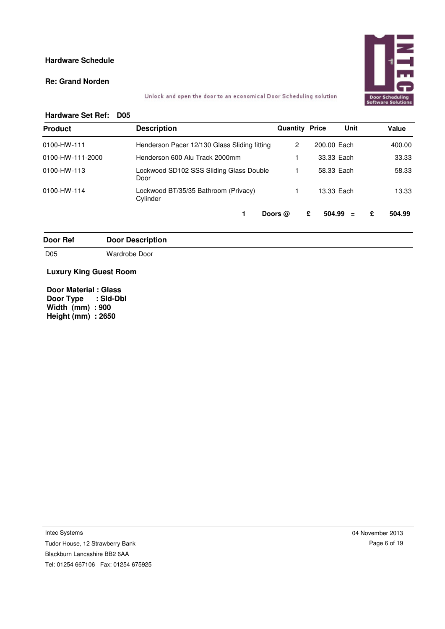### **Re: Grand Norden**



Unlock and open the door to an economical Door Scheduling solution

#### **Hardware Set Ref: D05**

| <b>Product</b>   | <b>Description</b>                               | <b>Quantity Price</b> |             | Unit       |   | Value  |
|------------------|--------------------------------------------------|-----------------------|-------------|------------|---|--------|
| 0100-HW-111      | Henderson Pacer 12/130 Glass Sliding fitting     | 2                     | 200.00 Each |            |   | 400.00 |
| 0100-HW-111-2000 | Henderson 600 Alu Track 2000mm                   |                       |             | 33.33 Each |   | 33.33  |
| 0100-HW-113      | Lockwood SD102 SSS Sliding Glass Double<br>Door  |                       |             | 58.33 Each |   | 58.33  |
| 0100-HW-114      | Lockwood BT/35/35 Bathroom (Privacy)<br>Cylinder |                       |             | 13.33 Each |   | 13.33  |
|                  | 1                                                | Doors $@$             | 504.99<br>£ | $=$        | £ | 504.99 |

| Door Ref | <b>Door Description</b> |
|----------|-------------------------|
|----------|-------------------------|

D05 Wardrobe Door

# **Luxury King Guest Room**

**Door Material : Glass Door Type Width (mm) : 900 Height (mm) : 2650**

Intec Systems

Tudor House, 12 Strawberry Bank

Blackburn Lancashire BB2 6AA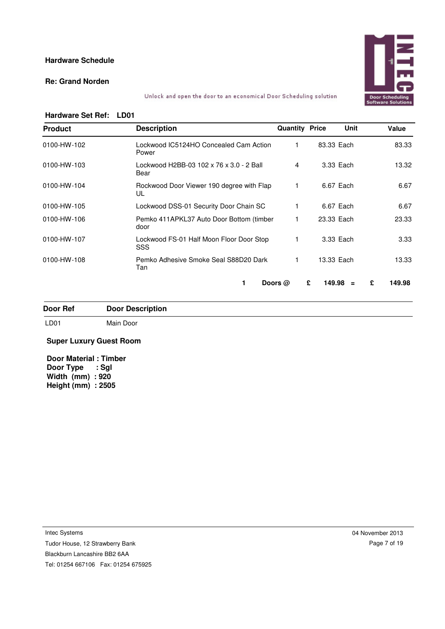### **Re: Grand Norden**



Unlock and open the door to an economical Door Scheduling solution

#### **Hardware Set Ref: LD01**

| <b>Product</b> | <b>Description</b>                               | <b>Quantity Price</b> |             | Unit      |   | Value  |
|----------------|--------------------------------------------------|-----------------------|-------------|-----------|---|--------|
| 0100-HW-102    | Lockwood IC5124HO Concealed Cam Action<br>Power  |                       | 83.33 Each  |           |   | 83.33  |
| 0100-HW-103    | Lockwood H2BB-03 102 x 76 x 3.0 - 2 Ball<br>Bear | 4                     |             | 3.33 Each |   | 13.32  |
| 0100-HW-104    | Rockwood Door Viewer 190 degree with Flap<br>UL  | 1                     |             | 6.67 Each |   | 6.67   |
| 0100-HW-105    | Lockwood DSS-01 Security Door Chain SC           |                       |             | 6.67 Each |   | 6.67   |
| 0100-HW-106    | Pemko 411APKL37 Auto Door Bottom (timber<br>door |                       | 23.33 Each  |           |   | 23.33  |
| 0100-HW-107    | Lockwood FS-01 Half Moon Floor Door Stop<br>SSS  | 1                     |             | 3.33 Each |   | 3.33   |
| 0100-HW-108    | Pemko Adhesive Smoke Seal S88D20 Dark<br>Tan     | 1.                    | 13.33 Each  |           |   | 13.33  |
|                | 1                                                | Doors $@$             | £<br>149.98 |           | £ | 149.98 |

# **Door Ref Door Description**

LD01 Main Door

### **Super Luxury Guest Room**

**Door Material : Timber Door Type Width (mm) : 920 Height (mm) : 2505**

Intec Systems

Tudor House, 12 Strawberry Bank

Blackburn Lancashire BB2 6AA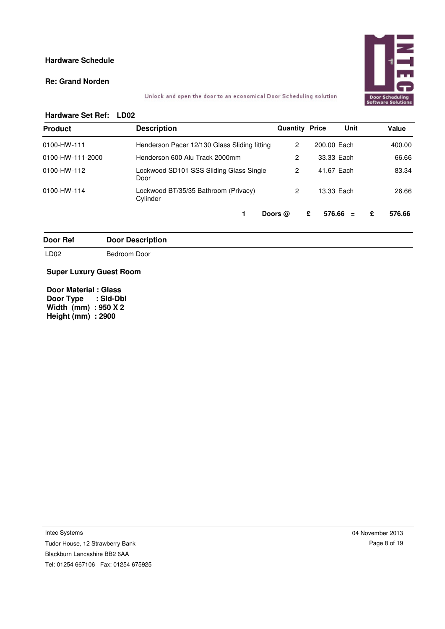### **Re: Grand Norden**



Unlock and open the door to an economical Door Scheduling solution

#### **Hardware Set Ref: LD02**

| <b>Product</b>   | <b>Description</b>                               | <b>Quantity Price</b> |             | Unit       |   | Value  |
|------------------|--------------------------------------------------|-----------------------|-------------|------------|---|--------|
| 0100-HW-111      | Henderson Pacer 12/130 Glass Sliding fitting     | 2                     | 200.00 Each |            |   | 400.00 |
| 0100-HW-111-2000 | Henderson 600 Alu Track 2000mm                   | 2                     |             | 33.33 Each |   | 66.66  |
| 0100-HW-112      | Lockwood SD101 SSS Sliding Glass Single<br>Door  | 2                     | 41.67 Each  |            |   | 83.34  |
| 0100-HW-114      | Lockwood BT/35/35 Bathroom (Privacy)<br>Cylinder | 2                     |             | 13.33 Each |   | 26.66  |
|                  |                                                  | Doors $@$             | £           | $576.66 =$ | £ | 576.66 |

#### **Door Ref Door Description**

LD02 Bedroom Door

#### **Super Luxury Guest Room**

**Door Material : Glass Door Type Width (mm) : 950 X 2 Height (mm) : 2900**

Intec Systems

Tudor House, 12 Strawberry Bank

Blackburn Lancashire BB2 6AA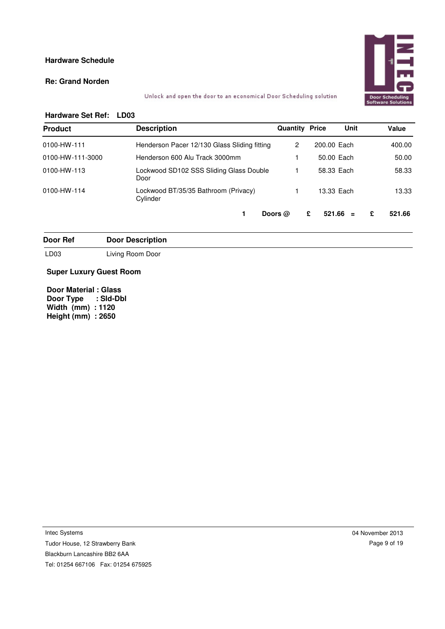### **Re: Grand Norden**



Unlock and open the door to an economical Door Scheduling solution

#### **Hardware Set Ref: LD03**

| <b>Product</b>   | <b>Description</b>                               | <b>Quantity Price</b> |             | Unit       |   | Value  |
|------------------|--------------------------------------------------|-----------------------|-------------|------------|---|--------|
| 0100-HW-111      | Henderson Pacer 12/130 Glass Sliding fitting     | 2                     | 200.00 Each |            |   | 400.00 |
| 0100-HW-111-3000 | Henderson 600 Alu Track 3000mm                   |                       |             | 50.00 Each |   | 50.00  |
| 0100-HW-113      | Lockwood SD102 SSS Sliding Glass Double<br>Door  |                       |             | 58.33 Each |   | 58.33  |
| 0100-HW-114      | Lockwood BT/35/35 Bathroom (Privacy)<br>Cylinder |                       |             | 13.33 Each |   | 13.33  |
|                  | 1                                                | Doors $@$             | 521.66<br>£ | $\equiv$   | £ | 521.66 |

LD03 Living Room Door

#### **Super Luxury Guest Room**

**Door Material : Glass Door Type Width (mm) : 1120 Height (mm) : 2650**

Intec Systems

Tudor House, 12 Strawberry Bank

Blackburn Lancashire BB2 6AA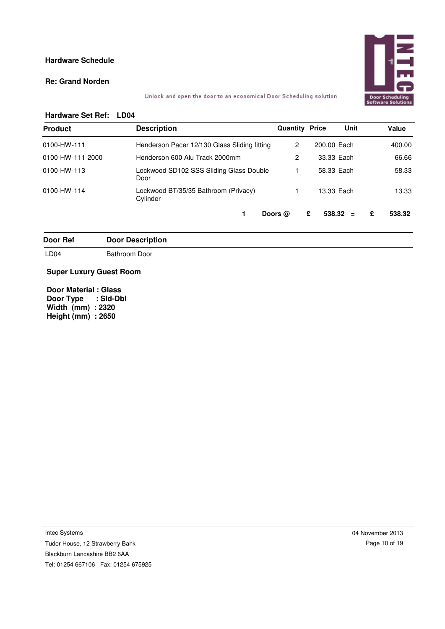### **Re: Grand Norden**



Unlock and open the door to an economical Door Scheduling solution

#### **Hardware Set Ref: LD04**

| <b>Product</b>   | <b>Description</b>                               | <b>Quantity Price</b> |             | Unit          |   | Value  |
|------------------|--------------------------------------------------|-----------------------|-------------|---------------|---|--------|
| 0100-HW-111      | Henderson Pacer 12/130 Glass Sliding fitting     | 2                     | 200.00 Each |               |   | 400.00 |
| 0100-HW-111-2000 | Henderson 600 Alu Track 2000mm                   | 2                     |             | 33.33 Each    |   | 66.66  |
| 0100-HW-113      | Lockwood SD102 SSS Sliding Glass Double<br>Door  |                       |             | 58.33 Each    |   | 58.33  |
| 0100-HW-114      | Lockwood BT/35/35 Bathroom (Privacy)<br>Cylinder |                       |             | 13.33 Each    |   | 13.33  |
|                  |                                                  | Doors $@$             | £           | 538.32<br>$=$ | £ | 538.32 |

### **Door Ref Door Description**

LD04 Bathroom Door

#### **Super Luxury Guest Room**

**Door Material : Glass Door Type Width (mm) : 2320 Height (mm) : 2650**

Intec Systems

Tudor House, 12 Strawberry Bank

Blackburn Lancashire BB2 6AA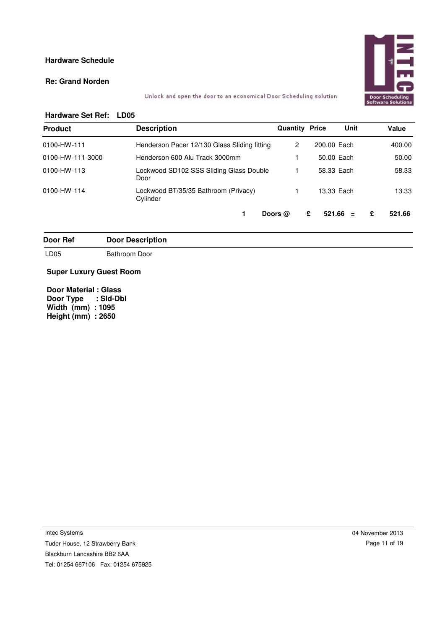### **Re: Grand Norden**



Unlock and open the door to an economical Door Scheduling solution

#### **Hardware Set Ref: LD05**

| <b>Product</b>   | <b>Description</b>                               | <b>Quantity Price</b> |             | Unit       |   | Value  |
|------------------|--------------------------------------------------|-----------------------|-------------|------------|---|--------|
| 0100-HW-111      | Henderson Pacer 12/130 Glass Sliding fitting     | 2                     | 200.00 Each |            |   | 400.00 |
| 0100-HW-111-3000 | Henderson 600 Alu Track 3000mm                   |                       |             | 50.00 Each |   | 50.00  |
| 0100-HW-113      | Lockwood SD102 SSS Sliding Glass Double<br>Door  |                       |             | 58.33 Each |   | 58.33  |
| 0100-HW-114      | Lockwood BT/35/35 Bathroom (Privacy)<br>Cylinder |                       |             | 13.33 Each |   | 13.33  |
|                  | 1                                                | Doors $@$             | £           | $521.66 =$ | £ | 521.66 |

### **Door Ref Door Description**

LD05 Bathroom Door

#### **Super Luxury Guest Room**

**Door Material : Glass Door Type Width (mm) : 1095 Height (mm) : 2650**

Intec Systems

Tudor House, 12 Strawberry Bank

Blackburn Lancashire BB2 6AA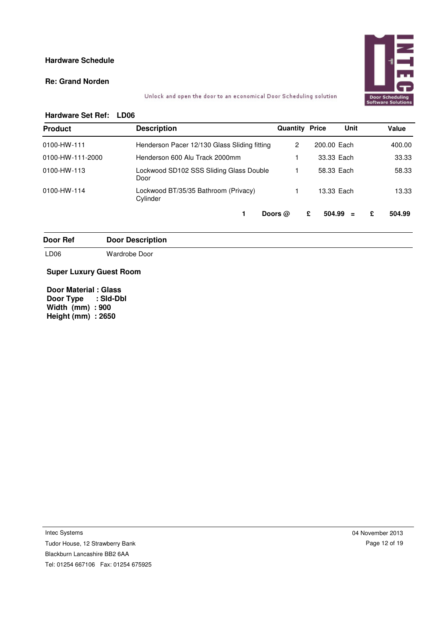### **Re: Grand Norden**



Unlock and open the door to an economical Door Scheduling solution

#### **Hardware Set Ref: LD06**

| <b>Product</b>   | <b>Description</b>                               | <b>Quantity Price</b> |             | Unit       |   | Value  |
|------------------|--------------------------------------------------|-----------------------|-------------|------------|---|--------|
| 0100-HW-111      | Henderson Pacer 12/130 Glass Sliding fitting     | 2                     | 200.00 Each |            |   | 400.00 |
| 0100-HW-111-2000 | Henderson 600 Alu Track 2000mm                   |                       |             | 33.33 Each |   | 33.33  |
| 0100-HW-113      | Lockwood SD102 SSS Sliding Glass Double<br>Door  |                       |             | 58.33 Each |   | 58.33  |
| 0100-HW-114      | Lockwood BT/35/35 Bathroom (Privacy)<br>Cylinder |                       |             | 13.33 Each |   | 13.33  |
|                  | 1                                                | Doors $@$             | 504.99<br>£ | $=$        | £ | 504.99 |

### **Door Ref Door Description**

LD06 Wardrobe Door

### **Super Luxury Guest Room**

**Door Material : Glass Door Type Width (mm) : 900 Height (mm) : 2650**

Intec Systems

Tudor House, 12 Strawberry Bank

Blackburn Lancashire BB2 6AA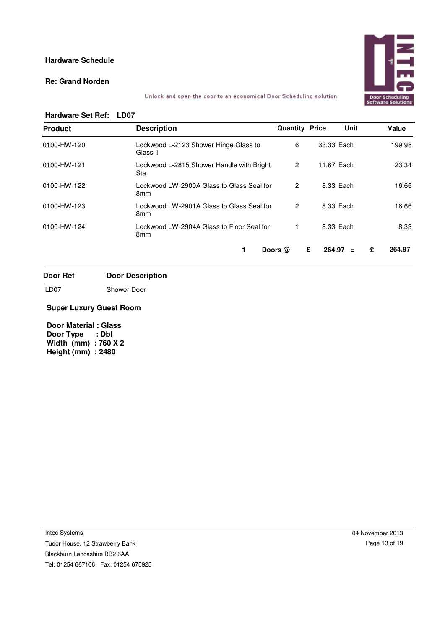### **Re: Grand Norden**



Unlock and open the door to an economical Door Scheduling solution

#### **Hardware Set Ref: LD07**

| <b>Product</b> | <b>Description</b>                                           | <b>Quantity Price</b> |             | Unit       |   | Value  |
|----------------|--------------------------------------------------------------|-----------------------|-------------|------------|---|--------|
| 0100-HW-120    | Lockwood L-2123 Shower Hinge Glass to<br>Glass 1             | 6                     |             | 33.33 Each |   | 199.98 |
| 0100-HW-121    | Lockwood L-2815 Shower Handle with Bright<br>Sta             | $\overline{2}$        |             | 11.67 Each |   | 23.34  |
| 0100-HW-122    | Lockwood LW-2900A Glass to Glass Seal for<br>8mm             | $\overline{2}$        |             | 8.33 Each  |   | 16.66  |
| 0100-HW-123    | Lockwood LW-2901A Glass to Glass Seal for<br>8 <sub>mm</sub> | $\overline{2}$        |             | 8.33 Each  |   | 16.66  |
| 0100-HW-124    | Lockwood LW-2904A Glass to Floor Seal for<br>8mm             |                       |             | 8.33 Each  |   | 8.33   |
|                | 1                                                            | Doors $@$             | £<br>264.97 | $=$        | £ | 264.97 |

### **Door Ref Door Description**

LD07 Shower Door

## **Super Luxury Guest Room**

**Door Material : Glass Door Type : Dbl Width (mm) : 760 X 2 Height (mm) : 2480**

Intec Systems

Tudor House, 12 Strawberry Bank

Blackburn Lancashire BB2 6AA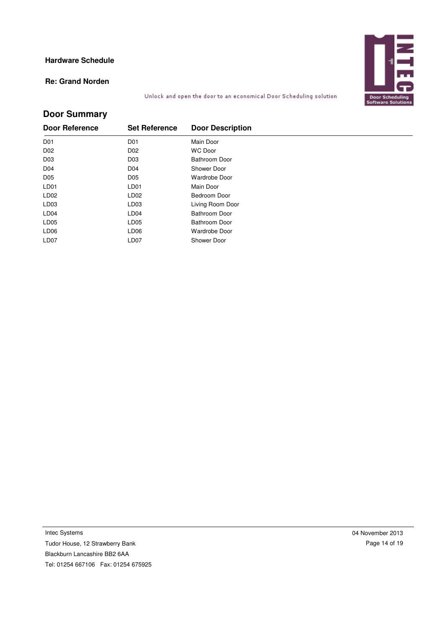**Re: Grand Norden**



Unlock and open the door to an economical Door Scheduling solution

# **Door Summary**

| <b>Door Reference</b> | <b>Set Reference</b> | <b>Door Description</b> |
|-----------------------|----------------------|-------------------------|
| D <sub>01</sub>       | D <sub>01</sub>      | Main Door               |
| D <sub>02</sub>       | D <sub>02</sub>      | <b>WC</b> Door          |
| D <sub>03</sub>       | D <sub>03</sub>      | Bathroom Door           |
| D <sub>04</sub>       | D <sub>04</sub>      | Shower Door             |
| D <sub>05</sub>       | D <sub>05</sub>      | Wardrobe Door           |
| LD <sub>01</sub>      | LD <sub>01</sub>     | Main Door               |
| LD <sub>02</sub>      | LD <sub>02</sub>     | Bedroom Door            |
| LD <sub>03</sub>      | LD <sub>03</sub>     | Living Room Door        |
| LD <sub>04</sub>      | LD <sub>04</sub>     | Bathroom Door           |
| LD <sub>05</sub>      | LD <sub>05</sub>     | Bathroom Door           |
| LD <sub>06</sub>      | LD <sub>06</sub>     | Wardrobe Door           |
| LD <sub>07</sub>      | LD <sub>07</sub>     | Shower Door             |

Intec Systems

Tudor House, 12 Strawberry Bank

Blackburn Lancashire BB2 6AA

Tel: 01254 667106 Fax: 01254 675925

04 November 2013 Page 14 of 19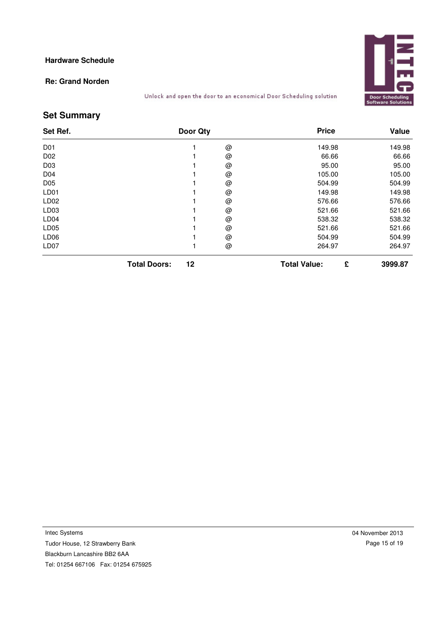**Re: Grand Norden**



Unlock and open the door to an economical Door Scheduling solution

# **Set Summary**

| Set Ref.         |                     | Door Qty |   | <b>Price</b>        |   | Value   |
|------------------|---------------------|----------|---|---------------------|---|---------|
| D <sub>01</sub>  |                     |          | @ | 149.98              |   | 149.98  |
| D <sub>02</sub>  |                     |          | @ | 66.66               |   | 66.66   |
| D <sub>03</sub>  |                     |          | @ | 95.00               |   | 95.00   |
| D <sub>04</sub>  |                     |          | @ | 105.00              |   | 105.00  |
| D <sub>05</sub>  |                     |          | @ | 504.99              |   | 504.99  |
| LD <sub>01</sub> |                     |          | @ | 149.98              |   | 149.98  |
| LD <sub>02</sub> |                     |          | @ | 576.66              |   | 576.66  |
| LD <sub>03</sub> |                     |          | @ | 521.66              |   | 521.66  |
| LD <sub>04</sub> |                     |          | @ | 538.32              |   | 538.32  |
| LD <sub>05</sub> |                     |          | @ | 521.66              |   | 521.66  |
| LD <sub>06</sub> |                     |          | @ | 504.99              |   | 504.99  |
| LD <sub>07</sub> |                     |          | @ | 264.97              |   | 264.97  |
|                  | <b>Total Doors:</b> | 12       |   | <b>Total Value:</b> | £ | 3999.87 |

Intec Systems

Tudor House, 12 Strawberry Bank

Blackburn Lancashire BB2 6AA

Tel: 01254 667106 Fax: 01254 675925

04 November 2013 Page 15 of 19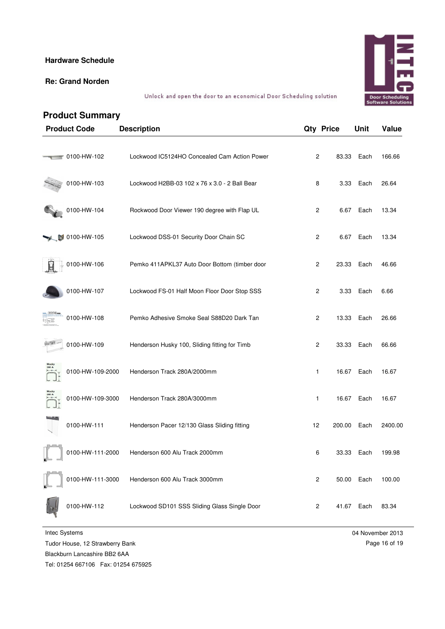**Re: Grand Norden**

Unlock and open the door to an economical Door Scheduling solution



# **Product Summary**

| <b>Product Code</b>       | <b>Description</b>                            |    | <b>Qty Price</b> | Unit       | Value   |
|---------------------------|-----------------------------------------------|----|------------------|------------|---------|
| 0100-HW-102               | Lockwood IC5124HO Concealed Cam Action Power  | 2  |                  | 83.33 Each | 166.66  |
| 0100-HW-103               | Lockwood H2BB-03 102 x 76 x 3.0 - 2 Ball Bear | 8  | 3.33             | Each       | 26.64   |
| 0100-HW-104               | Rockwood Door Viewer 190 degree with Flap UL  | 2  | 6.67             | Each       | 13.34   |
| 0100-HW-105               | Lockwood DSS-01 Security Door Chain SC        | 2  | 6.67             | Each       | 13.34   |
| 0100-HW-106               | Pemko 411APKL37 Auto Door Bottom (timber door | 2  | 23.33            | Each       | 46.66   |
| 0100-HW-107               | Lockwood FS-01 Half Moon Floor Door Stop SSS  | 2  | 3.33             | Each       | 6.66    |
| 0100-HW-108               | Pemko Adhesive Smoke Seal S88D20 Dark Tan     | 2  | 13.33            | Each       | 26.66   |
| 0100-HW-109               | Henderson Husky 100, Sliding fitting for Timb | 2  | 33.33            | Each       | 66.66   |
| 0100-HW-109-2000          | Henderson Track 280A/2000mm                   | 1  | 16.67            | Each       | 16.67   |
| 280 A<br>0100-HW-109-3000 | Henderson Track 280A/3000mm                   | 1  | 16.67            | Each       | 16.67   |
| 0100-HW-111               | Henderson Pacer 12/130 Glass Sliding fitting  | 12 | 200.00           | Each       | 2400.00 |
| 0100-HW-111-2000          | Henderson 600 Alu Track 2000mm                | 6  |                  | 33.33 Each | 199.98  |
| 0100-HW-111-3000          | Henderson 600 Alu Track 3000mm                | 2  | 50.00            | Each       | 100.00  |
| 0100-HW-112               | Lockwood SD101 SSS Sliding Glass Single Door  | 2  | 41.67            | Each       | 83.34   |

Intec Systems

Tudor House, 12 Strawberry Bank

Blackburn Lancashire BB2 6AA

Tel: 01254 667106 Fax: 01254 675925

04 November 2013 Page 16 of 19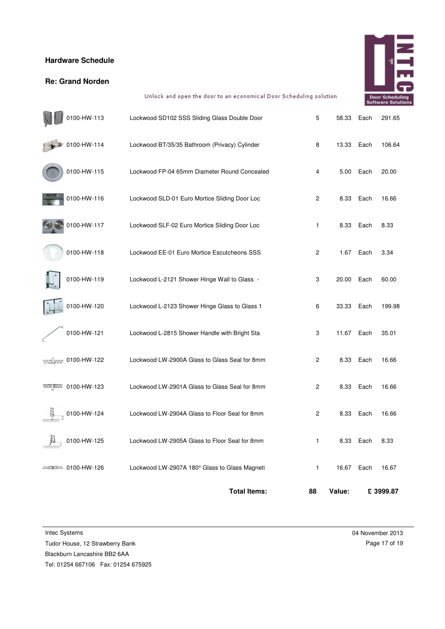**Re: Grand Norden**

Unlock and open the door to an economical Door Scheduling solution



|                               | <b>Total Items:</b>                           | 88             | Value:     |           | £3999.87 |
|-------------------------------|-----------------------------------------------|----------------|------------|-----------|----------|
| 22020533 0100-HW-126          | Lockwood LW-2907A 180° Glass to Glass Magneti | 1              | 16.67 Each |           | 16.67    |
| 0100-HW-125                   | Lockwood LW-2905A Glass to Floor Seal for 8mm | 1              | 8.33       | Each      | 8.33     |
| 0100-HW-124                   | Lockwood LW-2904A Glass to Floor Seal for 8mm | $\overline{c}$ |            | 8.33 Each | 16.66    |
|                               | Lockwood LW-2901A Glass to Glass Seal for 8mm | 2              | 8.33       | Each      | 16.66    |
| <del>ੜੜ</del> ੀਵ≠ 0100-HW-122 | Lockwood LW-2900A Glass to Glass Seal for 8mm | $\overline{c}$ | 8.33       | Each      | 16.66    |
| 0100-HW-121                   | Lockwood L-2815 Shower Handle with Bright Sta | 3              | 11.67 Each |           | 35.01    |
| 0100-HW-120                   | Lockwood L-2123 Shower Hinge Glass to Glass 1 | 6              | 33.33      | Each      | 199.98   |
| 0100-HW-119                   | Lockwood L-2121 Shower Hinge Wall to Glass -  | 3              | 20.00 Each |           | 60.00    |
| 0100-HW-118                   | Lockwood EE-01 Euro Mortice Escutcheons SSS   | 2              | 1.67       | Each      | 3.34     |
| 0100-HW-117                   | Lockwood SLF-02 Euro Mortice Sliding Door Loc | 1              | 8.33       | Each      | 8.33     |
| 0100-HW-116                   | Lockwood SLD-01 Euro Mortice Sliding Door Loc | 2              | 8.33       | Each      | 16.66    |
| 0100-HW-115                   | Lockwood FP-04 65mm Diameter Round Concealed  | 4              | 5.00       | Each      | 20.00    |
| 0100-HW-114                   | Lockwood BT/35/35 Bathroom (Privacy) Cylinder | 8              | 13.33 Each |           | 106.64   |
| 0100-HW-113                   | Lockwood SD102 SSS Sliding Glass Double Door  | 5              | 58.33      | Each      | 291.65   |

Intec Systems

Tudor House, 12 Strawberry Bank

Blackburn Lancashire BB2 6AA

Tel: 01254 667106 Fax: 01254 675925

04 November 2013 Page 17 of 19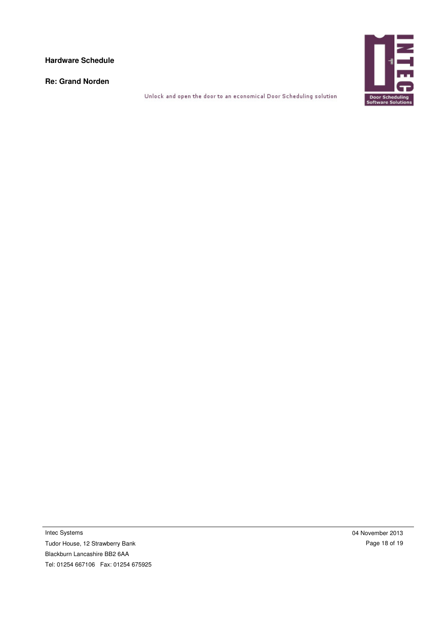**Re: Grand Norden**

Unlock and open the door to an economical Door Scheduling solution



Intec Systems Tudor House, 12 Strawberry Bank Blackburn Lancashire BB2 6AA Tel: 01254 667106 Fax: 01254 675925 04 November 2013 Page 18 of 19